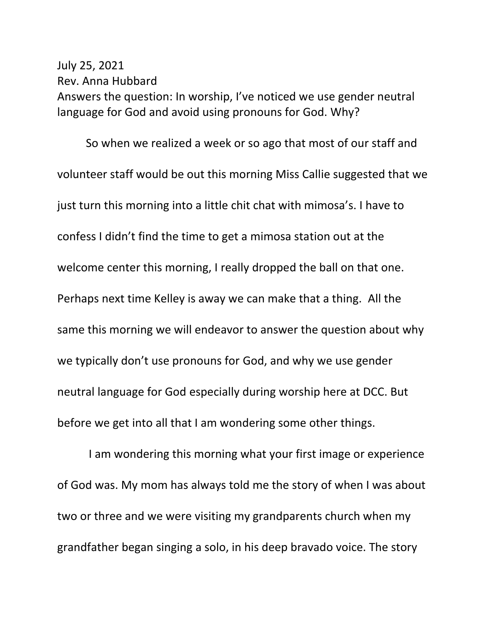## July 25, 2021 Rev. Anna Hubbard Answers the question: In worship, I've noticed we use gender neutral language for God and avoid using pronouns for God. Why?

So when we realized a week or so ago that most of our staff and volunteer staff would be out this morning Miss Callie suggested that we just turn this morning into a little chit chat with mimosa's. I have to confess I didn't find the time to get a mimosa station out at the welcome center this morning, I really dropped the ball on that one. Perhaps next time Kelley is away we can make that a thing. All the same this morning we will endeavor to answer the question about why we typically don't use pronouns for God, and why we use gender neutral language for God especially during worship here at DCC. But before we get into all that I am wondering some other things.

I am wondering this morning what your first image or experience of God was. My mom has always told me the story of when I was about two or three and we were visiting my grandparents church when my grandfather began singing a solo, in his deep bravado voice. The story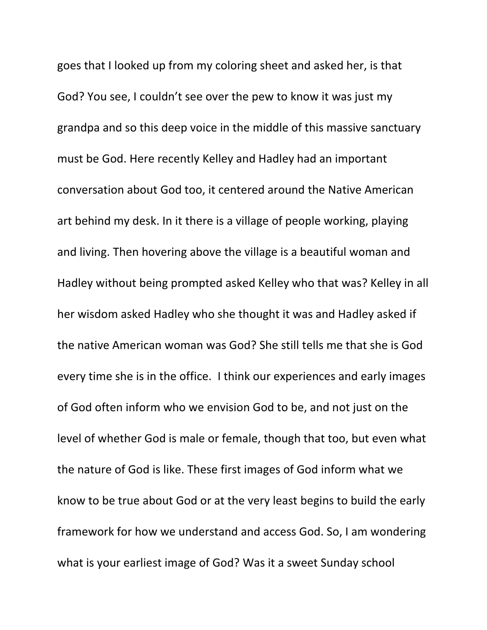goes that I looked up from my coloring sheet and asked her, is that God? You see, I couldn't see over the pew to know it was just my grandpa and so this deep voice in the middle of this massive sanctuary must be God. Here recently Kelley and Hadley had an important conversation about God too, it centered around the Native American art behind my desk. In it there is a village of people working, playing and living. Then hovering above the village is a beautiful woman and Hadley without being prompted asked Kelley who that was? Kelley in all her wisdom asked Hadley who she thought it was and Hadley asked if the native American woman was God? She still tells me that she is God every time she is in the office. I think our experiences and early images of God often inform who we envision God to be, and not just on the level of whether God is male or female, though that too, but even what the nature of God is like. These first images of God inform what we know to be true about God or at the very least begins to build the early framework for how we understand and access God. So, I am wondering what is your earliest image of God? Was it a sweet Sunday school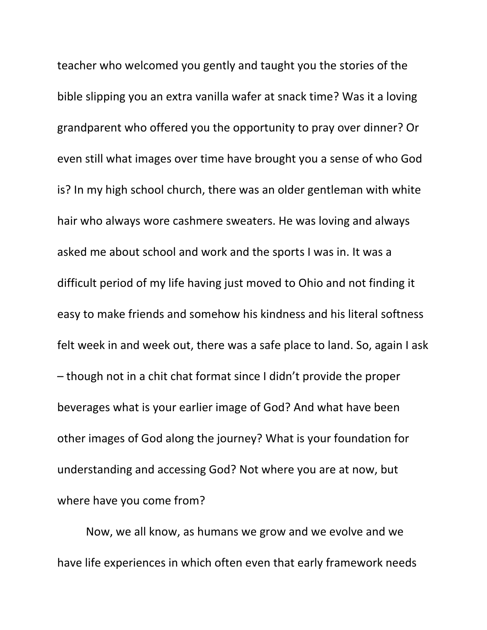teacher who welcomed you gently and taught you the stories of the bible slipping you an extra vanilla wafer at snack time? Was it a loving grandparent who offered you the opportunity to pray over dinner? Or even still what images over time have brought you a sense of who God is? In my high school church, there was an older gentleman with white hair who always wore cashmere sweaters. He was loving and always asked me about school and work and the sports I was in. It was a difficult period of my life having just moved to Ohio and not finding it easy to make friends and somehow his kindness and his literal softness felt week in and week out, there was a safe place to land. So, again I ask – though not in a chit chat format since I didn't provide the proper beverages what is your earlier image of God? And what have been other images of God along the journey? What is your foundation for understanding and accessing God? Not where you are at now, but where have you come from?

Now, we all know, as humans we grow and we evolve and we have life experiences in which often even that early framework needs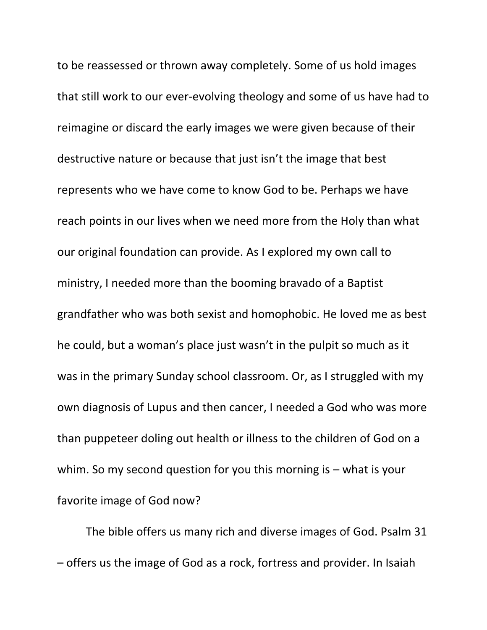to be reassessed or thrown away completely. Some of us hold images that still work to our ever-evolving theology and some of us have had to reimagine or discard the early images we were given because of their destructive nature or because that just isn't the image that best represents who we have come to know God to be. Perhaps we have reach points in our lives when we need more from the Holy than what our original foundation can provide. As I explored my own call to ministry, I needed more than the booming bravado of a Baptist grandfather who was both sexist and homophobic. He loved me as best he could, but a woman's place just wasn't in the pulpit so much as it was in the primary Sunday school classroom. Or, as I struggled with my own diagnosis of Lupus and then cancer, I needed a God who was more than puppeteer doling out health or illness to the children of God on a whim. So my second question for you this morning is – what is your favorite image of God now?

The bible offers us many rich and diverse images of God. Psalm 31 – offers us the image of God as a rock, fortress and provider. In Isaiah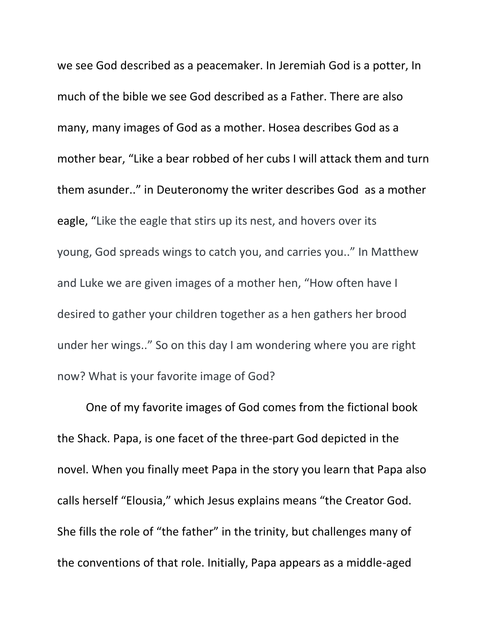we see God described as a peacemaker. In Jeremiah God is a potter, In much of the bible we see God described as a Father. There are also many, many images of God as a mother. Hosea describes God as a mother bear, "Like a bear robbed of her cubs I will attack them and turn them asunder.." in Deuteronomy the writer describes God as a mother eagle, "Like the eagle that stirs up its nest, and hovers over its young, God spreads wings to catch you, and carries you.." In Matthew and Luke we are given images of a mother hen, "How often have I desired to gather your children together as a hen gathers her brood under her wings.." So on this day I am wondering where you are right now? What is your favorite image of God?

One of my favorite images of God comes from the fictional book the Shack. Papa, is one facet of the three-part God depicted in the novel. When you finally meet Papa in the story you learn that Papa also calls herself "Elousia," which Jesus explains means "the Creator God. She fills the role of "the father" in the trinity, but challenges many of the conventions of that role. Initially, Papa appears as a middle-aged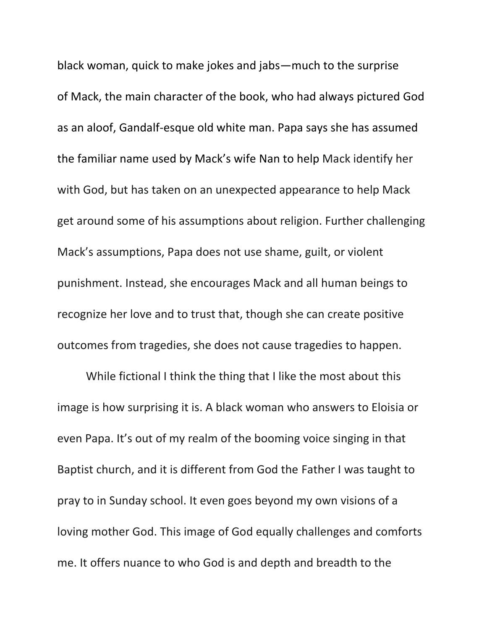black woman, quick to make jokes and jabs—much to the surprise of Mack, the main character of the book, who had always pictured God as an aloof, Gandalf-esque old white man. Papa says she has assumed the familiar name used by Mack's wife [Nan](https://www.litcharts.com/lit/the-shack/characters/nan-phillips) to help Mack identify her with God, but has taken on an unexpected appearance to help Mack get around some of his assumptions about religion. Further challenging Mack's assumptions, Papa does not use shame, guilt, or violent punishment. Instead, she encourages Mack and all human beings to recognize her love and to trust that, though she can create positive outcomes from tragedies, she does not cause tragedies to happen.

While fictional I think the thing that I like the most about this image is how surprising it is. A black woman who answers to Eloisia or even Papa. It's out of my realm of the booming voice singing in that Baptist church, and it is different from God the Father I was taught to pray to in Sunday school. It even goes beyond my own visions of a loving mother God. This image of God equally challenges and comforts me. It offers nuance to who God is and depth and breadth to the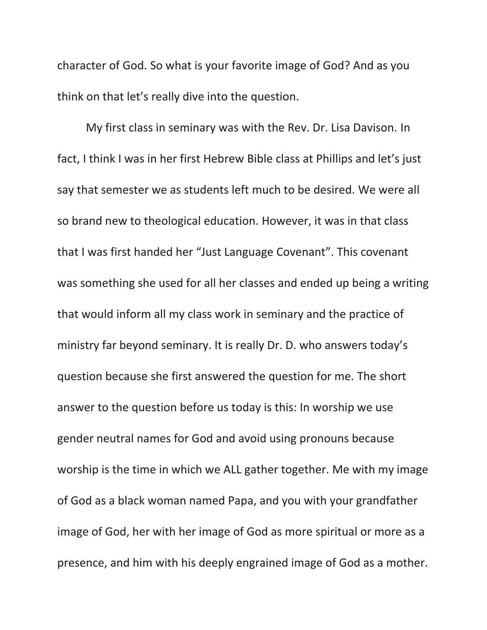character of God. So what is your favorite image of God? And as you think on that let's really dive into the question.

My first class in seminary was with the Rev. Dr. Lisa Davison. In fact, I think I was in her first Hebrew Bible class at Phillips and let's just say that semester we as students left much to be desired. We were all so brand new to theological education. However, it was in that class that I was first handed her "Just Language Covenant". This covenant was something she used for all her classes and ended up being a writing that would inform all my class work in seminary and the practice of ministry far beyond seminary. It is really Dr. D. who answers today's question because she first answered the question for me. The short answer to the question before us today is this: In worship we use gender neutral names for God and avoid using pronouns because worship is the time in which we ALL gather together. Me with my image of God as a black woman named Papa, and you with your grandfather image of God, her with her image of God as more spiritual or more as a presence, and him with his deeply engrained image of God as a mother.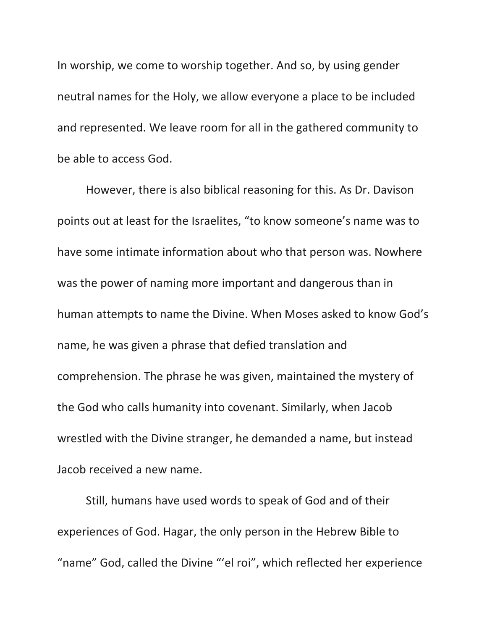In worship, we come to worship together. And so, by using gender neutral names for the Holy, we allow everyone a place to be included and represented. We leave room for all in the gathered community to be able to access God.

However, there is also biblical reasoning for this. As Dr. Davison points out at least for the Israelites, "to know someone's name was to have some intimate information about who that person was. Nowhere was the power of naming more important and dangerous than in human attempts to name the Divine. When Moses asked to know God's name, he was given a phrase that defied translation and comprehension. The phrase he was given, maintained the mystery of the God who calls humanity into covenant. Similarly, when Jacob wrestled with the Divine stranger, he demanded a name, but instead Jacob received a new name.

Still, humans have used words to speak of God and of their experiences of God. Hagar, the only person in the Hebrew Bible to "name" God, called the Divine "'el roi", which reflected her experience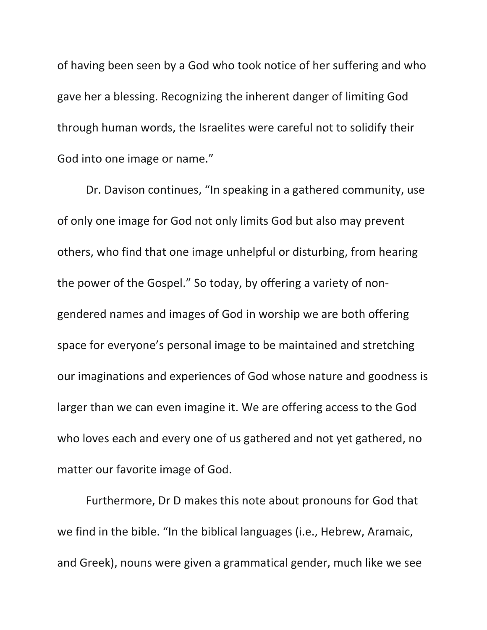of having been seen by a God who took notice of her suffering and who gave her a blessing. Recognizing the inherent danger of limiting God through human words, the Israelites were careful not to solidify their God into one image or name."

Dr. Davison continues, "In speaking in a gathered community, use of only one image for God not only limits God but also may prevent others, who find that one image unhelpful or disturbing, from hearing the power of the Gospel." So today, by offering a variety of nongendered names and images of God in worship we are both offering space for everyone's personal image to be maintained and stretching our imaginations and experiences of God whose nature and goodness is larger than we can even imagine it. We are offering access to the God who loves each and every one of us gathered and not yet gathered, no matter our favorite image of God.

Furthermore, Dr D makes this note about pronouns for God that we find in the bible. "In the biblical languages (i.e., Hebrew, Aramaic, and Greek), nouns were given a grammatical gender, much like we see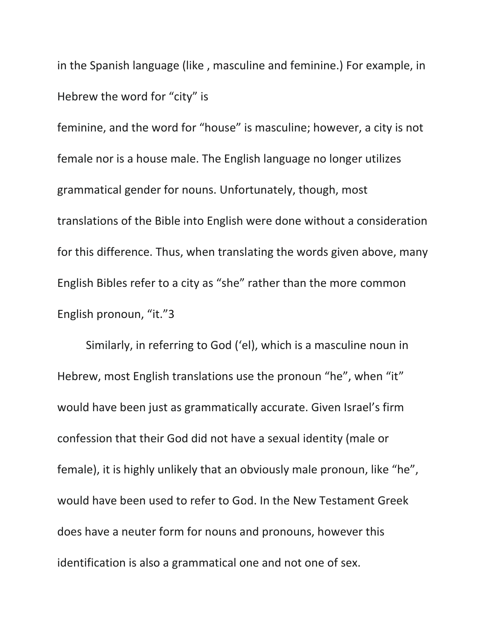in the Spanish language (like , masculine and feminine.) For example, in Hebrew the word for "city" is

feminine, and the word for "house" is masculine; however, a city is not female nor is a house male. The English language no longer utilizes grammatical gender for nouns. Unfortunately, though, most translations of the Bible into English were done without a consideration for this difference. Thus, when translating the words given above, many English Bibles refer to a city as "she" rather than the more common English pronoun, "it."3

Similarly, in referring to God ('el), which is a masculine noun in Hebrew, most English translations use the pronoun "he", when "it" would have been just as grammatically accurate. Given Israel's firm confession that their God did not have a sexual identity (male or female), it is highly unlikely that an obviously male pronoun, like "he", would have been used to refer to God. In the New Testament Greek does have a neuter form for nouns and pronouns, however this identification is also a grammatical one and not one of sex.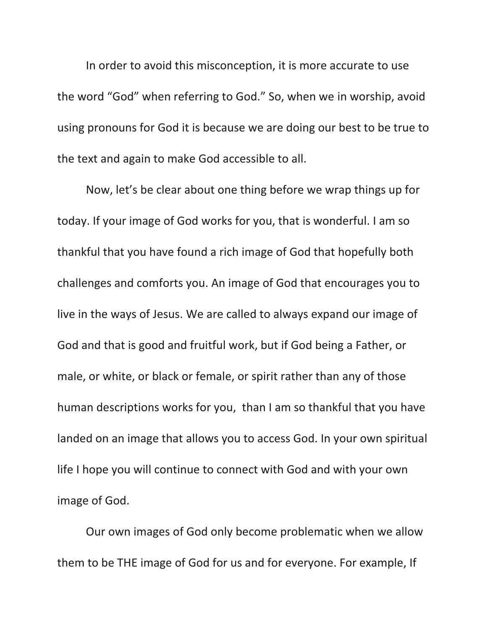In order to avoid this misconception, it is more accurate to use the word "God" when referring to God." So, when we in worship, avoid using pronouns for God it is because we are doing our best to be true to the text and again to make God accessible to all.

Now, let's be clear about one thing before we wrap things up for today. If your image of God works for you, that is wonderful. I am so thankful that you have found a rich image of God that hopefully both challenges and comforts you. An image of God that encourages you to live in the ways of Jesus. We are called to always expand our image of God and that is good and fruitful work, but if God being a Father, or male, or white, or black or female, or spirit rather than any of those human descriptions works for you, than I am so thankful that you have landed on an image that allows you to access God. In your own spiritual life I hope you will continue to connect with God and with your own image of God.

Our own images of God only become problematic when we allow them to be THE image of God for us and for everyone. For example, If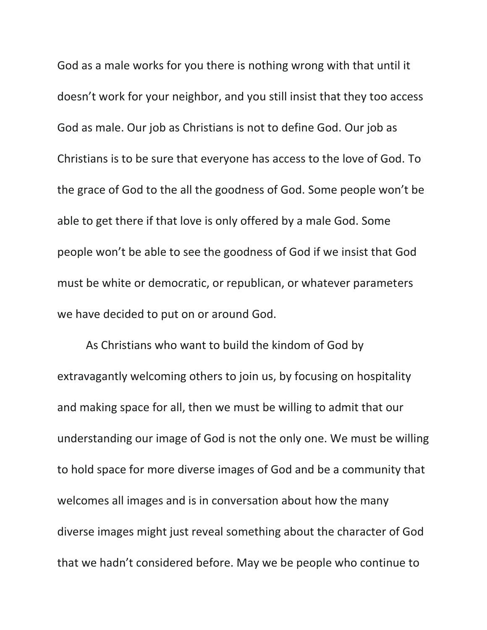God as a male works for you there is nothing wrong with that until it doesn't work for your neighbor, and you still insist that they too access God as male. Our job as Christians is not to define God. Our job as Christians is to be sure that everyone has access to the love of God. To the grace of God to the all the goodness of God. Some people won't be able to get there if that love is only offered by a male God. Some people won't be able to see the goodness of God if we insist that God must be white or democratic, or republican, or whatever parameters we have decided to put on or around God.

As Christians who want to build the kindom of God by extravagantly welcoming others to join us, by focusing on hospitality and making space for all, then we must be willing to admit that our understanding our image of God is not the only one. We must be willing to hold space for more diverse images of God and be a community that welcomes all images and is in conversation about how the many diverse images might just reveal something about the character of God that we hadn't considered before. May we be people who continue to